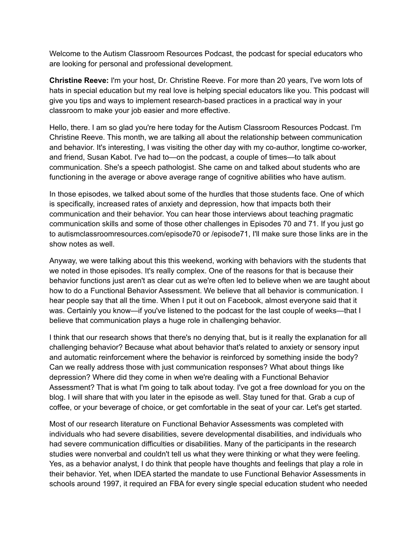Welcome to the Autism Classroom Resources Podcast, the podcast for special educators who are looking for personal and professional development.

**Christine Reeve:** I'm your host, Dr. Christine Reeve. For more than 20 years, I've worn lots of hats in special education but my real love is helping special educators like you. This podcast will give you tips and ways to implement research-based practices in a practical way in your classroom to make your job easier and more effective.

Hello, there. I am so glad you're here today for the Autism Classroom Resources Podcast. I'm Christine Reeve. This month, we are talking all about the relationship between communication and behavior. It's interesting, I was visiting the other day with my co-author, longtime co-worker, and friend, Susan Kabot. I've had to—on the podcast, a couple of times—to talk about communication. She's a speech pathologist. She came on and talked about students who are functioning in the average or above average range of cognitive abilities who have autism.

In those episodes, we talked about some of the hurdles that those students face. One of which is specifically, increased rates of anxiety and depression, how that impacts both their communication and their behavior. You can hear those interviews about teaching pragmatic communication skills and some of those other challenges in Episodes 70 and 71. If you just go to autismclassroomresources.com/episode70 or /episode71, I'll make sure those links are in the show notes as well

Anyway, we were talking about this this weekend, working with behaviors with the students that we noted in those episodes. It's really complex. One of the reasons for that is because their behavior functions just aren't as clear cut as we're often led to believe when we are taught about how to do a Functional Behavior Assessment. We believe that all behavior is communication. I hear people say that all the time. When I put it out on Facebook, almost everyone said that it was. Certainly you know—if you've listened to the podcast for the last couple of weeks—that I believe that communication plays a huge role in challenging behavior.

I think that our research shows that there's no denying that, but is it really the explanation for all challenging behavior? Because what about behavior that's related to anxiety or sensory input and automatic reinforcement where the behavior is reinforced by something inside the body? Can we really address those with just communication responses? What about things like depression? Where did they come in when we're dealing with a Functional Behavior Assessment? That is what I'm going to talk about today. I've got a free download for you on the blog. I will share that with you later in the episode as well. Stay tuned for that. Grab a cup of coffee, or your beverage of choice, or get comfortable in the seat of your car. Let's get started.

Most of our research literature on Functional Behavior Assessments was completed with individuals who had severe disabilities, severe developmental disabilities, and individuals who had severe communication difficulties or disabilities. Many of the participants in the research studies were nonverbal and couldn't tell us what they were thinking or what they were feeling. Yes, as a behavior analyst, I do think that people have thoughts and feelings that play a role in their behavior. Yet, when IDEA started the mandate to use Functional Behavior Assessments in schools around 1997, it required an FBA for every single special education student who needed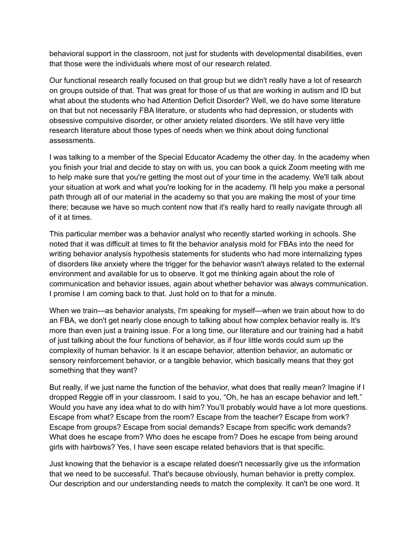behavioral support in the classroom, not just for students with developmental disabilities, even that those were the individuals where most of our research related.

Our functional research really focused on that group but we didn't really have a lot of research on groups outside of that. That was great for those of us that are working in autism and ID but what about the students who had Attention Deficit Disorder? Well, we do have some literature on that but not necessarily FBA literature, or students who had depression, or students with obsessive compulsive disorder, or other anxiety related disorders. We still have very little research literature about those types of needs when we think about doing functional assessments.

I was talking to a member of the Special Educator Academy the other day. In the academy when you finish your trial and decide to stay on with us, you can book a quick Zoom meeting with me to help make sure that you're getting the most out of your time in the academy. We'll talk about your situation at work and what you're looking for in the academy. I'll help you make a personal path through all of our material in the academy so that you are making the most of your time there; because we have so much content now that it's really hard to really navigate through all of it at times.

This particular member was a behavior analyst who recently started working in schools. She noted that it was difficult at times to fit the behavior analysis mold for FBAs into the need for writing behavior analysis hypothesis statements for students who had more internalizing types of disorders like anxiety where the trigger for the behavior wasn't always related to the external environment and available for us to observe. It got me thinking again about the role of communication and behavior issues, again about whether behavior was always communication. I promise I am coming back to that. Just hold on to that for a minute.

When we train—as behavior analysts, I'm speaking for myself—when we train about how to do an FBA, we don't get nearly close enough to talking about how complex behavior really is. It's more than even just a training issue. For a long time, our literature and our training had a habit of just talking about the four functions of behavior, as if four little words could sum up the complexity of human behavior. Is it an escape behavior, attention behavior, an automatic or sensory reinforcement behavior, or a tangible behavior, which basically means that they got something that they want?

But really, if we just name the function of the behavior, what does that really mean? Imagine if I dropped Reggie off in your classroom. I said to you, "Oh, he has an escape behavior and left." Would you have any idea what to do with him? You'll probably would have a lot more questions. Escape from what? Escape from the room? Escape from the teacher? Escape from work? Escape from groups? Escape from social demands? Escape from specific work demands? What does he escape from? Who does he escape from? Does he escape from being around girls with hairbows? Yes, I have seen escape related behaviors that is that specific.

Just knowing that the behavior is a escape related doesn't necessarily give us the information that we need to be successful. That's because obviously, human behavior is pretty complex. Our description and our understanding needs to match the complexity. It can't be one word. It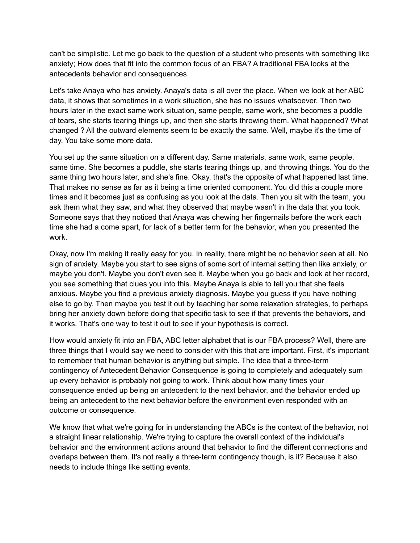can't be simplistic. Let me go back to the question of a student who presents with something like anxiety; How does that fit into the common focus of an FBA? A traditional FBA looks at the antecedents behavior and consequences.

Let's take Anaya who has anxiety. Anaya's data is all over the place. When we look at her ABC data, it shows that sometimes in a work situation, she has no issues whatsoever. Then two hours later in the exact same work situation, same people, same work, she becomes a puddle of tears, she starts tearing things up, and then she starts throwing them. What happened? What changed ? All the outward elements seem to be exactly the same. Well, maybe it's the time of day. You take some more data.

You set up the same situation on a different day. Same materials, same work, same people, same time. She becomes a puddle, she starts tearing things up, and throwing things. You do the same thing two hours later, and she's fine. Okay, that's the opposite of what happened last time. That makes no sense as far as it being a time oriented component. You did this a couple more times and it becomes just as confusing as you look at the data. Then you sit with the team, you ask them what they saw, and what they observed that maybe wasn't in the data that you took. Someone says that they noticed that Anaya was chewing her fingernails before the work each time she had a come apart, for lack of a better term for the behavior, when you presented the work.

Okay, now I'm making it really easy for you. In reality, there might be no behavior seen at all. No sign of anxiety. Maybe you start to see signs of some sort of internal setting then like anxiety, or maybe you don't. Maybe you don't even see it. Maybe when you go back and look at her record, you see something that clues you into this. Maybe Anaya is able to tell you that she feels anxious. Maybe you find a previous anxiety diagnosis. Maybe you guess if you have nothing else to go by. Then maybe you test it out by teaching her some relaxation strategies, to perhaps bring her anxiety down before doing that specific task to see if that prevents the behaviors, and it works. That's one way to test it out to see if your hypothesis is correct.

How would anxiety fit into an FBA, ABC letter alphabet that is our FBA process? Well, there are three things that I would say we need to consider with this that are important. First, it's important to remember that human behavior is anything but simple. The idea that a three-term contingency of Antecedent Behavior Consequence is going to completely and adequately sum up every behavior is probably not going to work. Think about how many times your consequence ended up being an antecedent to the next behavior, and the behavior ended up being an antecedent to the next behavior before the environment even responded with an outcome or consequence.

We know that what we're going for in understanding the ABCs is the context of the behavior, not a straight linear relationship. We're trying to capture the overall context of the individual's behavior and the environment actions around that behavior to find the different connections and overlaps between them. It's not really a three-term contingency though, is it? Because it also needs to include things like setting events.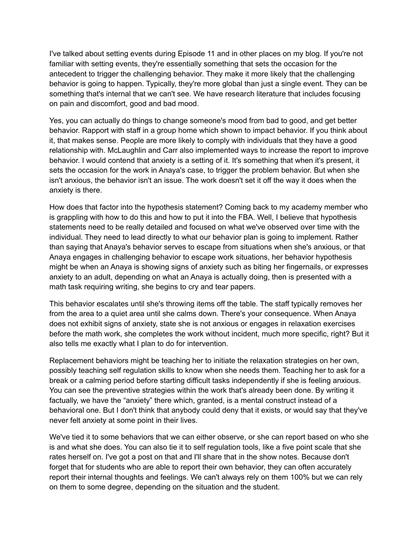I've talked about setting events during Episode 11 and in other places on my blog. If you're not familiar with setting events, they're essentially something that sets the occasion for the antecedent to trigger the challenging behavior. They make it more likely that the challenging behavior is going to happen. Typically, they're more global than just a single event. They can be something that's internal that we can't see. We have research literature that includes focusing on pain and discomfort, good and bad mood.

Yes, you can actually do things to change someone's mood from bad to good, and get better behavior. Rapport with staff in a group home which shown to impact behavior. If you think about it, that makes sense. People are more likely to comply with individuals that they have a good relationship with. McLaughlin and Carr also implemented ways to increase the report to improve behavior. I would contend that anxiety is a setting of it. It's something that when it's present, it sets the occasion for the work in Anaya's case, to trigger the problem behavior. But when she isn't anxious, the behavior isn't an issue. The work doesn't set it off the way it does when the anxiety is there.

How does that factor into the hypothesis statement? Coming back to my academy member who is grappling with how to do this and how to put it into the FBA. Well, I believe that hypothesis statements need to be really detailed and focused on what we've observed over time with the individual. They need to lead directly to what our behavior plan is going to implement. Rather than saying that Anaya's behavior serves to escape from situations when she's anxious, or that Anaya engages in challenging behavior to escape work situations, her behavior hypothesis might be when an Anaya is showing signs of anxiety such as biting her fingernails, or expresses anxiety to an adult, depending on what an Anaya is actually doing, then is presented with a math task requiring writing, she begins to cry and tear papers.

This behavior escalates until she's throwing items off the table. The staff typically removes her from the area to a quiet area until she calms down. There's your consequence. When Anaya does not exhibit signs of anxiety, state she is not anxious or engages in relaxation exercises before the math work, she completes the work without incident, much more specific, right? But it also tells me exactly what I plan to do for intervention.

Replacement behaviors might be teaching her to initiate the relaxation strategies on her own, possibly teaching self regulation skills to know when she needs them. Teaching her to ask for a break or a calming period before starting difficult tasks independently if she is feeling anxious. You can see the preventive strategies within the work that's already been done. By writing it factually, we have the "anxiety" there which, granted, is a mental construct instead of a behavioral one. But I don't think that anybody could deny that it exists, or would say that they've never felt anxiety at some point in their lives.

We've tied it to some behaviors that we can either observe, or she can report based on who she is and what she does. You can also tie it to self regulation tools, like a five point scale that she rates herself on. I've got a post on that and I'll share that in the show notes. Because don't forget that for students who are able to report their own behavior, they can often accurately report their internal thoughts and feelings. We can't always rely on them 100% but we can rely on them to some degree, depending on the situation and the student.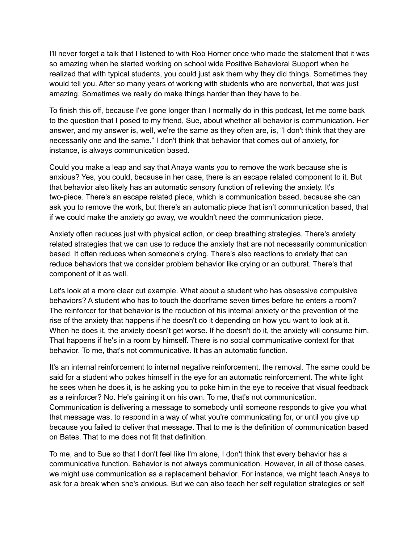I'll never forget a talk that I listened to with Rob Horner once who made the statement that it was so amazing when he started working on school wide Positive Behavioral Support when he realized that with typical students, you could just ask them why they did things. Sometimes they would tell you. After so many years of working with students who are nonverbal, that was just amazing. Sometimes we really do make things harder than they have to be.

To finish this off, because I've gone longer than I normally do in this podcast, let me come back to the question that I posed to my friend, Sue, about whether all behavior is communication. Her answer, and my answer is, well, we're the same as they often are, is, "I don't think that they are necessarily one and the same." I don't think that behavior that comes out of anxiety, for instance, is always communication based.

Could you make a leap and say that Anaya wants you to remove the work because she is anxious? Yes, you could, because in her case, there is an escape related component to it. But that behavior also likely has an automatic sensory function of relieving the anxiety. It's two-piece. There's an escape related piece, which is communication based, because she can ask you to remove the work, but there's an automatic piece that isn't communication based, that if we could make the anxiety go away, we wouldn't need the communication piece.

Anxiety often reduces just with physical action, or deep breathing strategies. There's anxiety related strategies that we can use to reduce the anxiety that are not necessarily communication based. It often reduces when someone's crying. There's also reactions to anxiety that can reduce behaviors that we consider problem behavior like crying or an outburst. There's that component of it as well.

Let's look at a more clear cut example. What about a student who has obsessive compulsive behaviors? A student who has to touch the doorframe seven times before he enters a room? The reinforcer for that behavior is the reduction of his internal anxiety or the prevention of the rise of the anxiety that happens if he doesn't do it depending on how you want to look at it. When he does it, the anxiety doesn't get worse. If he doesn't do it, the anxiety will consume him. That happens if he's in a room by himself. There is no social communicative context for that behavior. To me, that's not communicative. It has an automatic function.

It's an internal reinforcement to internal negative reinforcement, the removal. The same could be said for a student who pokes himself in the eye for an automatic reinforcement. The white light he sees when he does it, is he asking you to poke him in the eye to receive that visual feedback as a reinforcer? No. He's gaining it on his own. To me, that's not communication. Communication is delivering a message to somebody until someone responds to give you what that message was, to respond in a way of what you're communicating for, or until you give up because you failed to deliver that message. That to me is the definition of communication based on Bates. That to me does not fit that definition.

To me, and to Sue so that I don't feel like I'm alone, I don't think that every behavior has a communicative function. Behavior is not always communication. However, in all of those cases, we might use communication as a replacement behavior. For instance, we might teach Anaya to ask for a break when she's anxious. But we can also teach her self regulation strategies or self